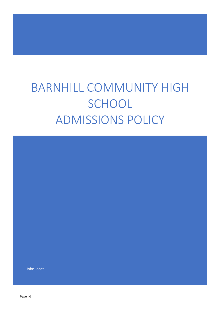# BARNHILL COMMUNITY HIGH **SCHOOL** ADMISSIONS POLICY

John Jones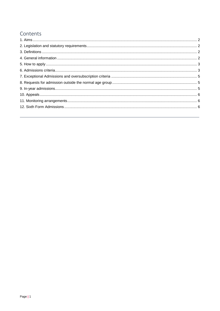# Contents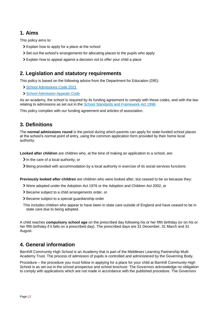# <span id="page-2-0"></span>**1. Aims**

This policy aims to:

- Explain how to apply for a place at the school
- Set out the school's arrangements for allocating places to the pupils who apply
- Explain how to appeal against a decision not to offer your child a place

# <span id="page-2-1"></span>**2. Legislation and statutory requirements**

This policy is based on the following advice from the Department for Education (DfE):

- [School Admissions Code 2021](https://www.gov.uk/government/publications/school-admissions-code--2)
- > [School Admission Appeals Code](https://www.gov.uk/government/publications/school-admissions-appeals-code)

As an academy, the school is required by its funding agreement to comply with these codes, and with the law relating to admissions as set out in the [School Standards and Framework Act 1998.](http://www.legislation.gov.uk/ukpga/1998/31/contents)

This policy complies with our funding agreement and articles of association.

## <span id="page-2-2"></span>**3. Definitions**

The **normal admissions round** is the period during which parents can apply for state-funded school places at the school's normal point of entry, using the common application form provided by their home local authority.

**Looked after children** are children who, at the time of making an application to a school, are:

- $\sum$  In the care of a local authority, or
- Being provided with accommodation by a local authority in exercise of its social services functions

**Previously looked after children** are children who were looked after, but ceased to be so because they:

- Were adopted under the Adoption Act 1976 or the Adoption and Children Act 2002, or
- Became subject to a child arrangements order, or
- > Became subject to a special guardianship order
- This includes children who appear to have been in state care outside of England and have ceased to be in state care due to being adopted.

A child reaches **compulsory school age** on the prescribed day following his or her fifth birthday (or on his or her fifth birthday if it falls on a prescribed day). The prescribed days are 31 December, 31 March and 31 August.

# <span id="page-2-3"></span>**4. General information**

Barnhill Community High School is an Academy that is part of the Middlesex Learning Partnership Multi Academy Trust. The process of admission of pupils is controlled and administered by the Governing Body.

Procedure – the procedure you must follow in applying for a place for your child at Barnhill Community High School is as set out in the school prospectus and school brochure. The Governors acknowledge no obligation to comply with applications which are not made in accordance with the published procedure. The Governors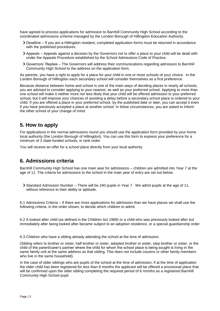have agreed to process applications for admission to Barnhill Community High School according to the coordinated admissions scheme managed by the London Borough of Hillingdon Education Authority.

- Deadline If you are a Hillingdon resident, completed application forms must be returned in accordance with the published procedures.
- Appeals Appeals against a decision by the Governors not to offer a place to your child will be dealt with under the Appeals Procedure established by the School Admissions Code of Practice.
- Governors' Replies The Governors will address their communications regarding admission to Barnhill Community High School to the address on the application form.

As parents, you have a right to apply for a place for your child in one or more schools of your choice. In the London Borough of Hillingdon each secondary school will consider themselves as a first preference.

Because distance between home and school is one of the main ways of deciding places in nearly all schools, you are advised to consider applying to your nearest, as well as your preferred school. Applying to more than one school will make it neither more nor less likely that your child will be offered admission to your preferred school, but it will improve your chances of avoiding a delay before a secondary school place is ordered to your child. If you are offered a place in your preferred school, by the published date or later, you can accept it even if you have previously accepted a place at another school. In these circumstances, you are asked to inform the other school of your change of mind.

## <span id="page-3-0"></span>**5. How to apply**

For applications in the normal admissions round you should use the application form provided by your home local authority (the London Borough of Hillingdon). You can use this form to express your preference for a minimum of 3 state-funded schools, in rank order.

You will receive an offer for a school place directly from your local authority.

## <span id="page-3-1"></span>**6. Admissions criteria**

Barnhill Community High School has one main year for admissions – children are admitted into Year 7 at the age of 11. The criteria for admissions to the school in the main year of entry are set out below.

Standard Admission Number – There will be 240 pupils in Year 7. We admit pupils at the age of 11, without reference to their ability or aptitude.

6.1 Admissions Criteria – If there are more applications for admission than we have places we shall use the following criteria, in the order shown, to decide which children to admit:

6.2 A looked after child (as defined in the Children Act 1989) or a child who was previously looked after but immediately after being looked after became subject to an adoption residence, or a special guardianship order

6.3 Children who have a sibling already attending the school at the time of admission.

(Sibling refers to brother or sister, half brother or sister, adopted brother or sister, step brother or sister, or the child of the parent/carer's partner where the child for whom the school place is being sought is living in the same family unit at the same address as that sibling. This does not include cousins or other family members who live in the same household).

In the case of older siblings who are pupils of the school at the time of admission, if at the time of application the older child has been registered for less than 6 months the applicant will be offered a provisional place that will be confirmed upon the older sibling completing the required period of 6 months as a registered Barnhill Community High School pupil.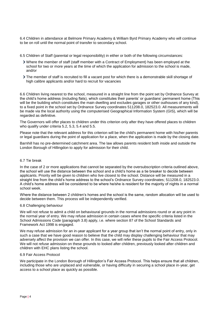6.4 Children in attendance at Belmore Primary Academy & William Byrd Primary Academy who will continue to be on roll until the normal point of transfer to secondary school.

6.5 Children of Staff (parental or legal responsibility) in either or both of the following circumstances:

- Where the member of staff (staff member with a Contract of Employment) has been employed at the school for two or more years at the time of which the application for admission to the school is made, and/or
- The member of staff is recruited to fill a vacant post for which there is a demonstrable skill shortage of high calibre applicants and/or hard to recruit for vacancies

6.6 Children living nearest to the school, measured in a straight line from the point set by Ordnance Survey at the child's home address (including flats), which constitutes their parents' or guardians' permanent home (This will be the building which constitutes the main dwelling and excludes garages or other outhouses of any kind), to a fixed point in the school set by Ordnance Survey coordinates 511208.0, 182523.0. All measurements will be made via the local authority using the computerised Geographical Information System (GIS), which will be regarded as definitive.

The Governors will offer places to children under this criterion only after they have offered places to children who qualify under criteria 5.2, 5.3, 5.4 and 5.5.

Please note that the relevant address for this criterion will be the child's permanent home with his/her parents or legal guardians during the point of application for a place, when the application is made by the closing date.

Barnhill has no pre-determined catchment area. The law allows parents resident both inside and outside the London Borough of Hillingdon to apply for admission for their child.

#### 6.7 Tie break

In the case of 2 or more applications that cannot be separated by the oversubscription criteria outlined above, the school will use the distance between the school and a child's home as a tie breaker to decide between applicants. Priority will be given to children who live closest to the school. Distance will be measured in a straight line from the child's home address to the school's Ordnance Survey coordinates; 511208.0, 182523.0. A child's home address will be considered to be where he/she is resident for the majority of nights in a normal school week.

Where the distance between 2 children's homes and the school is the same, random allocation will be used to decide between them. This process will be independently verified.

#### 6.8 Challenging behaviour

We will not refuse to admit a child on behavioural grounds in the normal admissions round or at any point in the normal year of entry. We may refuse admission in certain cases where the specific criteria listed in the School Admissions Code (paragraph 3.8) apply, i.e. where section 87 of the School Standards and Framework Act 1998 is engaged.

We may refuse admission for an in-year applicant for a year group that isn't the normal point of entry, only in such a case that we have good reason to believe that the child may display challenging behaviour that may adversely affect the provision we can offer. In this case, we will refer these pupils to the Fair Access Protocol. We will not refuse admission on these grounds to looked after children, previously looked after children and children with EHC plans listing the school.

#### 6.9 Fair Access Protocol

We participate in the London Borough of Hillingdon's Fair Access Protocol. This helps ensure that all children, including those who are unplaced and vulnerable, or having difficulty in securing a school place in-year, get access to a school place as quickly as possible.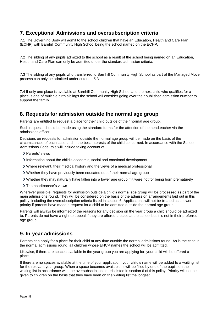# <span id="page-5-0"></span>**7. Exceptional Admissions and oversubscription criteria**

7.1 The Governing Body will admit to the school children that have an Education, Health and Care Plan (ECHP) with Barnhill Community High School being the school named on the ECHP.

7.2 The sibling of any pupils admitted to the school as a result of the school being named on an Education, Health and Care Plan can only be admitted under the standard admission criteria.

7.3 The sibling of any pupils who transferred to Barnhill Community High School as part of the Managed Move process can only be admitted under criterion 5.3.

7.4 If only one place is available at Barnhill Community High School and the next child who qualifies for a place is one of multiple birth siblings the school will consider going over their published admission number to support the family.

# <span id="page-5-1"></span>**8. Requests for admission outside the normal age group**

Parents are entitled to request a place for their child outside of their normal age group.

Such requests should be made using the standard forms for the attention of the headteacher via the admissions officer.

Decisions on requests for admission outside the normal age group will be made on the basis of the circumstances of each case and in the best interests of the child concerned. In accordance with the School Admissions Code, this will include taking account of:

- > Parents' views
- Information about the child's academic, social and emotional development
- Where relevant, their medical history and the views of a medical professional
- Whether they have previously been educated out of their normal age group
- Whether they may naturally have fallen into a lower age group if it were not for being born prematurely
- > The headteacher's views

Wherever possible, requests for admission outside a child's normal age group will be processed as part of the main admissions round. They will be considered on the basis of the admission arrangements laid out in this policy, including the oversubscription criteria listed in section 6. Applications will not be treated as a lower priority if parents have made a request for a child to be admitted outside the normal age group.

Parents will always be informed of the reasons for any decision on the year group a child should be admitted to. Parents do not have a right to appeal if they are offered a place at the school but it is not in their preferred age group.

## <span id="page-5-2"></span>**9. In-year admissions**

Parents can apply for a place for their child at any time outside the normal admissions round. As is the case in the normal admissions round, all children whose EHCP names the school will be admitted.

Likewise, if there are spaces available in the year group you are applying for, your child will be offered a place.

If there are no spaces available at the time of your application, your child's name will be added to a waiting list for the relevant year group. When a space becomes available, it will be filled by one of the pupils on the waiting list in accordance with the oversubscription criteria listed in section 6 of this policy. Priority will not be given to children on the basis that they have been on the waiting list the longest.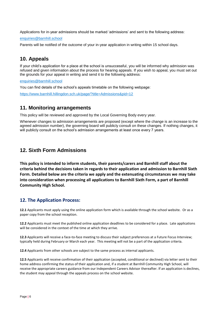Applications for in-year admissions should be marked 'admissions' and sent to the following address:

[enquiries@barnhill.school](mailto:enquiries@barnhill.school)

Parents will be notified of the outcome of your in-year application in writing within 15 school days.

# <span id="page-6-0"></span>**10. Appeals**

If your child's application for a place at the school is unsuccessful, you will be informed why admission was refused and given information about the process for hearing appeals. If you wish to appeal, you must set out the grounds for your appeal in writing and send it to the following address:

[enquiries@barnhill.school](mailto:enquiries@barnhill.school)

You can find details of the school's appeals timetable on the following webpage:

<https://www.barnhill.hillingdon.sch.uk/page/?title=Admissions&pid=12>

#### <span id="page-6-1"></span>**11. Monitoring arrangements**

This policy will be reviewed and approved by the Local Governing Body every year.

Whenever changes to admission arrangements are proposed (except where the change is an increase to the agreed admission number), the governing board will publicly consult on these changes. If nothing changes, it will publicly consult on the school's admission arrangements at least once every 7 years.

#### <span id="page-6-2"></span>**12. Sixth Form Admissions**

**This policy is intended to inform students, their parents/carers and Barnhill staff about the criteria behind the decisions taken in regards to their application and admission to Barnhill Sixth Form. Detailed below are the criteria we apply and the extenuating circumstances we may take into consideration when processing all applications to Barnhill Sixth Form, a part of Barnhill Community High School.**

#### **12. The Application Process:**

**12.1** Applicants must apply using the online application form which is available through the school website. Or as a paper copy from the school reception.

**12.2** Applicants must meet the published online application deadlines to be considered for a place. Late applications will be considered in the context of the time at which they arrive.

**12.3** Applicants will receive a face-to-face meeting to discuss their subject preferences at a Future Focus Interview; typically held during February or March each year. This meeting will not be a part of the application criteria.

**12.4** Applicants from other schools are subject to the same process as internal applicants.

**12.5** Applicants will receive confirmation of their application (accepted, conditional or declined) via letter sent to their home address confirming the status of their application and, if a student at Barnhill Community High School, will receive the appropriate careers guidance from our Independent Careers Advisor thereafter. If an application is declines, the student may appeal through the appeals process on the school website.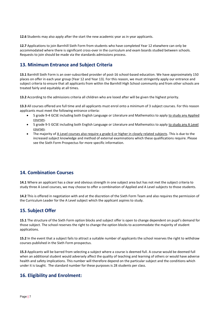**12.6** Students may also apply after the start the new academic year as in year applicants.

**12.7** Applications to join Barnhill Sixth Form from students who have completed Year 12 elsewhere can only be accommodated where there is significant cross-over in the curriculum and exam boards studied between schools. Requests to join should be made via the standards admissions process.

#### **13. Minimum Entrance and Subject Criteria**

**13.1** Barnhill Sixth Form is an over-subscribed provider of post-16 school-based education. We have approximately 150 places on offer in each year group (Year 12 and Year 13). For this reason, we must stringently apply our entrance and subject criteria to ensure that all applicants from within the Barnhill High School community and from other schools are treated fairly and equitably at all times.

**13.2** According to the admissions criteria all children who are looed after will be given the highest priority.

**13.3** All courses offered are full time and all applicants must enrol onto a minimum of 3 subject courses. For this reason applicants must meet the following entrance criteria:

- 5 grade 9-4 GCSE including both English Language or Literature and Mathematics to apply to study any Applied courses.
- 5 grade 9-5 GCSE including both English Language or Literature and Mathematics to apply to study any A Level courses.
- The majority of A Level courses also require a grade 6 or higher in closely related subjects. This is due to the increased subject knowledge and method of external examinations which these qualifications require. Please see the Sixth Form Prospectus for more specific information.

#### **14. Combination Courses**

**14.1** Where an applicant has a clear and obvious strength in one subject area but has not met the subject criteria to study three A Level courses, we may choose to offer a combination of Applied and A Level subjects to those students.

**14.2** This is offered in negotiation with and at the discretion of the Sixth Form Team and also requires the permission of the Curriculum Leader for the A Level subject which the applicant aspires to study.

#### **15. Subject Offer**

**15.1** The structure of the Sixth Form option blocks and subject offer is open to change dependent on pupil's demand for those subject. The school reserves the right to change the option blocks to accommodate the majority of student applications.

**15.2** In the event that a subject fails to attract a suitable number of applicants the school reserves the right to withdraw courses published in the Sixth Form prospectus.

**15.3** Applicants will be barred from selecting a subject where a course is deemed full. A course would be deemed full when an additional student would adversely affect the quality of teaching and learning of others or would have adverse health and safety implications. This number will therefore depend on the particular subject and the conditions which under it is taught. The standard number for these purposes is 28 students per class.

#### **16. Eligibility and Enrolment:**